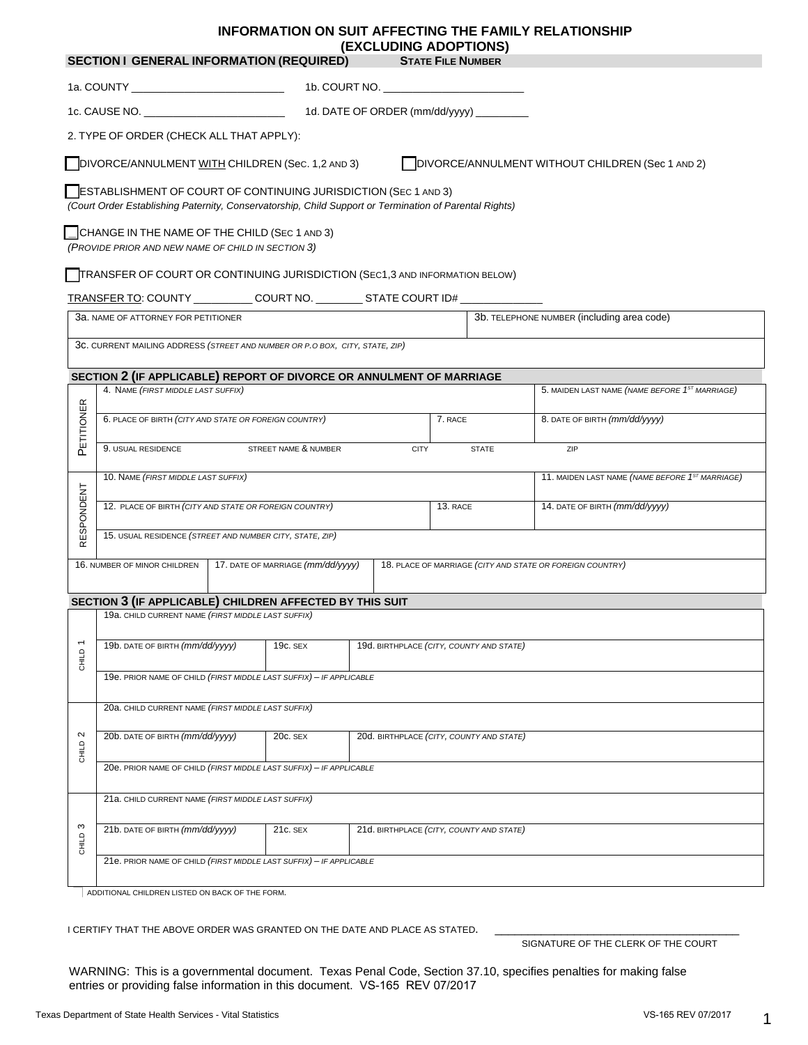| <b>INFORMATION ON SUIT AFFECTING THE FAMILY RELATIONSHIP</b> |  |
|--------------------------------------------------------------|--|
| <b>(EXCLUDING ADOPTIONS)</b>                                 |  |

| (EXCLUDING ADOPTIONS)<br><b>SECTION I GENERAL INFORMATION (REQUIRED)</b><br><b>STATE FILE NUMBER</b>                                                                      |                                                                              |  |                                          |                                          |              |  |                                                 |  |  |  |
|---------------------------------------------------------------------------------------------------------------------------------------------------------------------------|------------------------------------------------------------------------------|--|------------------------------------------|------------------------------------------|--------------|--|-------------------------------------------------|--|--|--|
|                                                                                                                                                                           | 1a. COUNTY ______________________________                                    |  |                                          |                                          |              |  |                                                 |  |  |  |
|                                                                                                                                                                           | 1c. CAUSE NO. _____________________________                                  |  | 1d. DATE OF ORDER (mm/dd/yyyy) _________ |                                          |              |  |                                                 |  |  |  |
|                                                                                                                                                                           |                                                                              |  |                                          |                                          |              |  |                                                 |  |  |  |
|                                                                                                                                                                           | 2. TYPE OF ORDER (CHECK ALL THAT APPLY):                                     |  |                                          |                                          |              |  |                                                 |  |  |  |
| DIVORCE/ANNULMENT WITH CHILDREN (Sec. 1,2 AND 3)<br>   DIVORCE/ANNULMENT WITHOUT CHILDREN (Sec 1 AND 2)                                                                   |                                                                              |  |                                          |                                          |              |  |                                                 |  |  |  |
| ESTABLISHMENT OF COURT OF CONTINUING JURISDICTION (SEC 1 AND 3)<br>(Court Order Establishing Paternity, Conservatorship, Child Support or Termination of Parental Rights) |                                                                              |  |                                          |                                          |              |  |                                                 |  |  |  |
| CHANGE IN THE NAME OF THE CHILD (SEC 1 AND 3)                                                                                                                             |                                                                              |  |                                          |                                          |              |  |                                                 |  |  |  |
|                                                                                                                                                                           | (PROVIDE PRIOR AND NEW NAME OF CHILD IN SECTION 3)                           |  |                                          |                                          |              |  |                                                 |  |  |  |
| TRANSFER OF COURT OR CONTINUING JURISDICTION (SEC1,3 AND INFORMATION BELOW)                                                                                               |                                                                              |  |                                          |                                          |              |  |                                                 |  |  |  |
|                                                                                                                                                                           | TRANSFER TO: COUNTY ___________COURT NO. __________ STATE COURT ID# __       |  |                                          |                                          |              |  |                                                 |  |  |  |
|                                                                                                                                                                           | 3a. NAME OF ATTORNEY FOR PETITIONER                                          |  |                                          |                                          |              |  | 3b. TELEPHONE NUMBER (including area code)      |  |  |  |
|                                                                                                                                                                           | 3c. CURRENT MAILING ADDRESS (STREET AND NUMBER OR P.O BOX, CITY, STATE, ZIP) |  |                                          |                                          |              |  |                                                 |  |  |  |
|                                                                                                                                                                           | SECTION 2 (IF APPLICABLE) REPORT OF DIVORCE OR ANNULMENT OF MARRIAGE         |  |                                          |                                          |              |  |                                                 |  |  |  |
|                                                                                                                                                                           | 4. NAME (FIRST MIDDLE LAST SUFFIX)                                           |  |                                          |                                          |              |  | 5. MAIDEN LAST NAME (NAME BEFORE 1ST MARRIAGE)  |  |  |  |
| PETITIONER                                                                                                                                                                | 6. PLACE OF BIRTH (CITY AND STATE OR FOREIGN COUNTRY)                        |  |                                          |                                          | 7. RACE      |  | 8. DATE OF BIRTH (mm/dd/yyyy)                   |  |  |  |
|                                                                                                                                                                           | 9. USUAL RESIDENCE                                                           |  | STREET NAME & NUMBER                     | <b>CITY</b>                              | <b>STATE</b> |  | ZIP                                             |  |  |  |
|                                                                                                                                                                           | 10. NAME (FIRST MIDDLE LAST SUFFIX)                                          |  |                                          |                                          |              |  | 11. MAIDEN LAST NAME (NAME BEFORE 1ST MARRIAGE) |  |  |  |
| ESPONDENT                                                                                                                                                                 | 12. PLACE OF BIRTH (CITY AND STATE OR FOREIGN COUNTRY)<br>13. RACE           |  |                                          |                                          |              |  | 14. DATE OF BIRTH (mm/dd/yyyy)                  |  |  |  |
| $\propto$                                                                                                                                                                 | 15. USUAL RESIDENCE (STREET AND NUMBER CITY, STATE, ZIP)                     |  |                                          |                                          |              |  |                                                 |  |  |  |
| 17. DATE OF MARRIAGE (mm/dd/yyyy)<br>18. PLACE OF MARRIAGE (CITY AND STATE OR FOREIGN COUNTRY)<br>16. NUMBER OF MINOR CHILDREN                                            |                                                                              |  |                                          |                                          |              |  |                                                 |  |  |  |
|                                                                                                                                                                           | SECTION 3 (IF APPLICABLE) CHILDREN AFFECTED BY THIS SUIT                     |  |                                          |                                          |              |  |                                                 |  |  |  |
|                                                                                                                                                                           | 19a. CHILD CURRENT NAME (FIRST MIDDLE LAST SUFFIX)                           |  |                                          |                                          |              |  |                                                 |  |  |  |
| $\overline{\phantom{0}}$<br><b>CHILD</b>                                                                                                                                  | 19b. DATE OF BIRTH (mm/dd/yyyy)                                              |  | 19c. SEX                                 | 19d. BIRTHPLACE (CITY, COUNTY AND STATE) |              |  |                                                 |  |  |  |
|                                                                                                                                                                           | 19e. PRIOR NAME OF CHILD (FIRST MIDDLE LAST SUFFIX) - IF APPLICABLE          |  |                                          |                                          |              |  |                                                 |  |  |  |
|                                                                                                                                                                           | 20a. CHILD CURRENT NAME (FIRST MIDDLE LAST SUFFIX)                           |  |                                          |                                          |              |  |                                                 |  |  |  |
| $\sim$<br><b>CHILD</b>                                                                                                                                                    | 20b. DATE OF BIRTH (mm/dd/vvvv)                                              |  | 20c. SEX                                 | 20d. BIRTHPLACE (CITY, COUNTY AND STATE) |              |  |                                                 |  |  |  |
|                                                                                                                                                                           | 20e. PRIOR NAME OF CHILD (FIRST MIDDLE LAST SUFFIX) - IF APPLICABLE          |  |                                          |                                          |              |  |                                                 |  |  |  |
|                                                                                                                                                                           | 21a. CHILD CURRENT NAME (FIRST MIDDLE LAST SUFFIX)                           |  |                                          |                                          |              |  |                                                 |  |  |  |
| S                                                                                                                                                                         | 21b. DATE OF BIRTH (mm/dd/yyyy)                                              |  | 21c. SEX                                 | 21d. BIRTHPLACE (CITY, COUNTY AND STATE) |              |  |                                                 |  |  |  |
| <b>CHILD</b>                                                                                                                                                              | 21e. PRIOR NAME OF CHILD (FIRST MIDDLE LAST SUFFIX) - IF APPLICABLE          |  |                                          |                                          |              |  |                                                 |  |  |  |

ADDITIONAL CHILDREN LISTED ON BACK OF THE FORM.

I CERTIFY THAT THE ABOVE ORDER WAS GRANTED ON THE DATE AND PLACE AS STATED.

SIGNATURE OF THE CLERK OF THE COURT

WARNING: This is a governmental document. Texas Penal Code, Section 37.10, specifies penalties for making false entries or providing false information in this document. VS-165 REV 07/2017